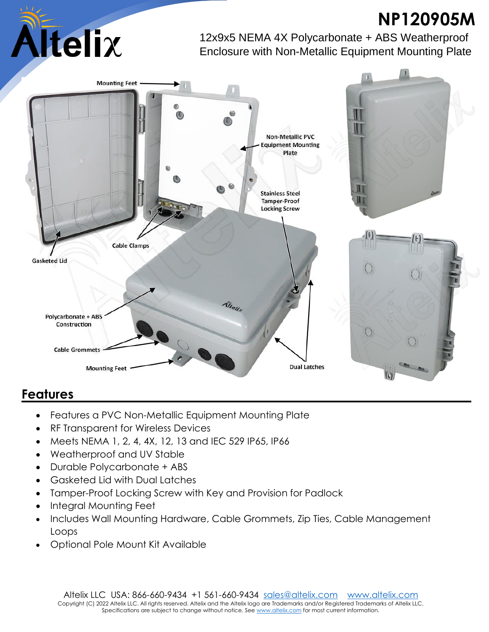## **NP120905M**



12x9x5 NEMA 4X Polycarbonate + ABS Weatherproof Enclosure with Non-Metallic Equipment Mounting Plate



## **Features**

- Features a PVC Non-Metallic Equipment Mounting Plate
- RF Transparent for Wireless Devices
- Meets NEMA 1, 2, 4, 4X, 12, 13 and IEC 529 IP65, IP66
- Weatherproof and UV Stable
- Durable Polycarbonate + ABS
- Gasketed Lid with Dual Latches
- Tamper-Proof Locking Screw with Key and Provision for Padlock
- Integral Mounting Feet
- Includes Wall Mounting Hardware, Cable Grommets, Zip Ties, Cable Management Loops
- Optional Pole Mount Kit Available